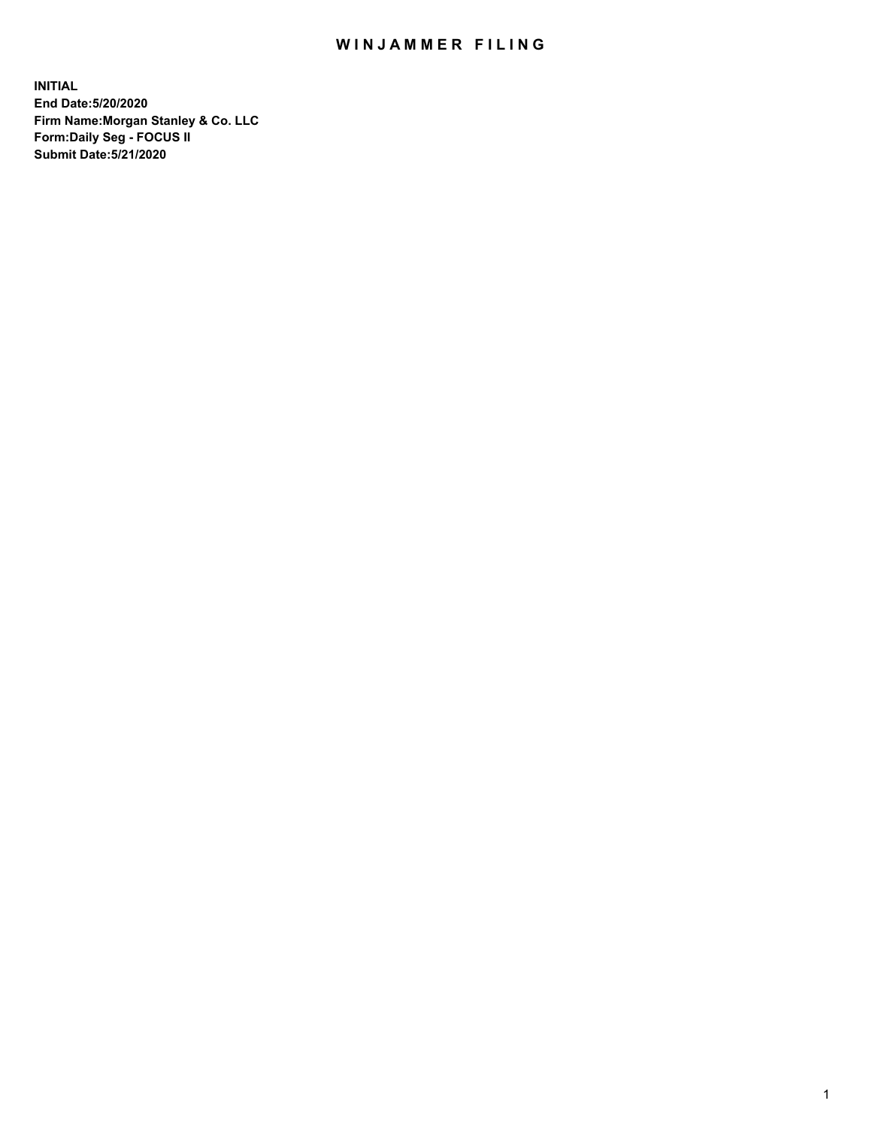## WIN JAMMER FILING

**INITIAL End Date:5/20/2020 Firm Name:Morgan Stanley & Co. LLC Form:Daily Seg - FOCUS II Submit Date:5/21/2020**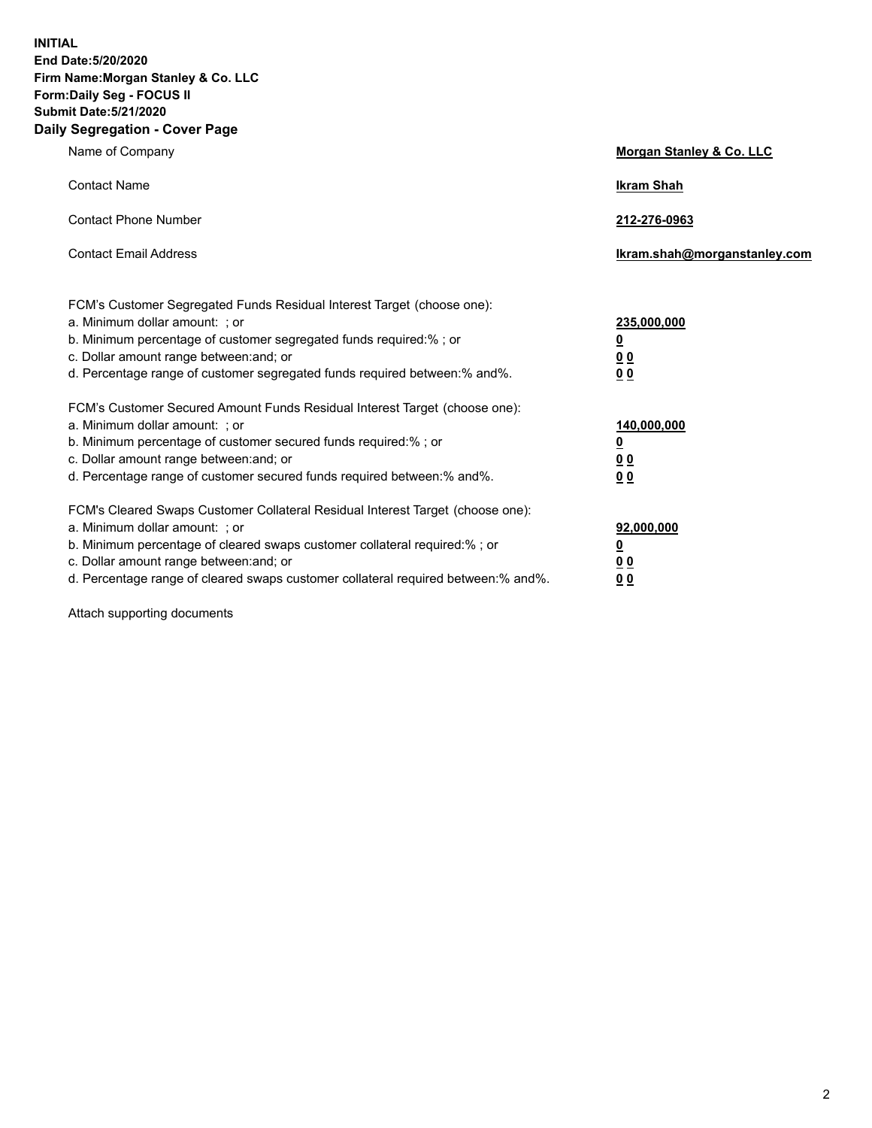**INITIAL End Date:5/20/2020 Firm Name:Morgan Stanley & Co. LLC Form:Daily Seg - FOCUS II Submit Date:5/21/2020 Daily Segregation - Cover Page**

| Name of Company                                                                                                                                                                                                                                                                                                                | Morgan Stanley & Co. LLC                               |
|--------------------------------------------------------------------------------------------------------------------------------------------------------------------------------------------------------------------------------------------------------------------------------------------------------------------------------|--------------------------------------------------------|
| <b>Contact Name</b>                                                                                                                                                                                                                                                                                                            | <b>Ikram Shah</b>                                      |
| <b>Contact Phone Number</b>                                                                                                                                                                                                                                                                                                    | 212-276-0963                                           |
| <b>Contact Email Address</b>                                                                                                                                                                                                                                                                                                   | Ikram.shah@morganstanley.com                           |
| FCM's Customer Segregated Funds Residual Interest Target (choose one):<br>a. Minimum dollar amount: ; or<br>b. Minimum percentage of customer segregated funds required:% ; or<br>c. Dollar amount range between: and; or<br>d. Percentage range of customer segregated funds required between: % and %.                       | 235,000,000<br><u>0</u><br>00<br>0 <sub>0</sub>        |
| FCM's Customer Secured Amount Funds Residual Interest Target (choose one):<br>a. Minimum dollar amount: ; or<br>b. Minimum percentage of customer secured funds required:%; or<br>c. Dollar amount range between: and; or<br>d. Percentage range of customer secured funds required between:% and%.                            | 140,000,000<br><u>0</u><br><u>00</u><br>0 <sub>0</sub> |
| FCM's Cleared Swaps Customer Collateral Residual Interest Target (choose one):<br>a. Minimum dollar amount: ; or<br>b. Minimum percentage of cleared swaps customer collateral required:% ; or<br>c. Dollar amount range between: and; or<br>d. Percentage range of cleared swaps customer collateral required between:% and%. | 92,000,000<br><u>0</u><br><u>00</u><br>0 <sub>0</sub>  |

Attach supporting documents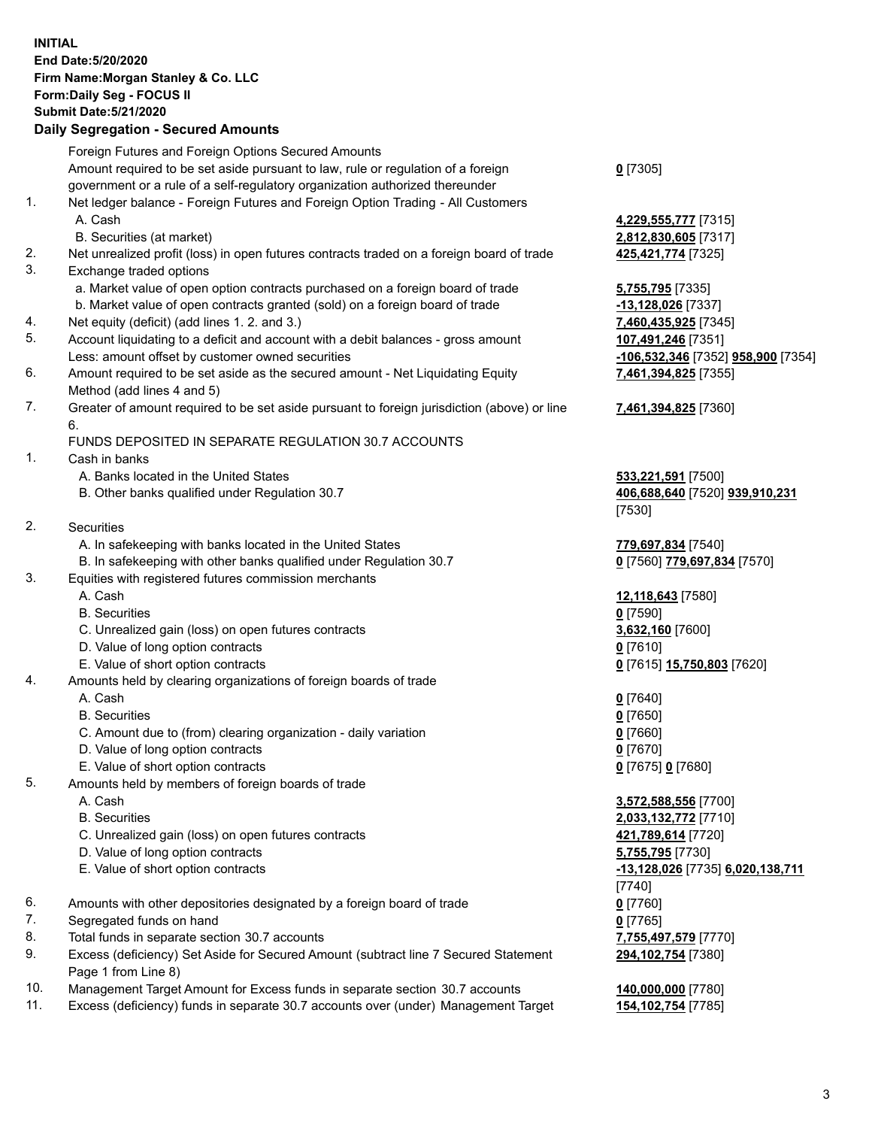## **INITIAL End Date:5/20/2020 Firm Name:Morgan Stanley & Co. LLC Form:Daily Seg - FOCUS II Submit Date:5/21/2020**

## **Daily Segregation - Secured Amounts**

|          | Foreign Futures and Foreign Options Secured Amounts                                               |                                              |
|----------|---------------------------------------------------------------------------------------------------|----------------------------------------------|
|          | Amount required to be set aside pursuant to law, rule or regulation of a foreign                  | $0$ [7305]                                   |
|          | government or a rule of a self-regulatory organization authorized thereunder                      |                                              |
| 1.       | Net ledger balance - Foreign Futures and Foreign Option Trading - All Customers                   |                                              |
|          | A. Cash                                                                                           | 4,229,555,777 [7315]                         |
|          | B. Securities (at market)                                                                         | 2,812,830,605 [7317]                         |
| 2.       | Net unrealized profit (loss) in open futures contracts traded on a foreign board of trade         | 425,421,774 [7325]                           |
| 3.       | Exchange traded options                                                                           |                                              |
|          | a. Market value of open option contracts purchased on a foreign board of trade                    |                                              |
|          |                                                                                                   | 5,755,795 [7335]                             |
|          | b. Market value of open contracts granted (sold) on a foreign board of trade                      | -13,128,026 [7337]                           |
| 4.       | Net equity (deficit) (add lines 1. 2. and 3.)                                                     | 7,460,435,925 [7345]                         |
| 5.<br>6. | Account liquidating to a deficit and account with a debit balances - gross amount                 | 107,491,246 [7351]                           |
|          | Less: amount offset by customer owned securities                                                  | -106,532,346 [7352] 958,900 [7354]           |
|          | Amount required to be set aside as the secured amount - Net Liquidating Equity                    | 7,461,394,825 [7355]                         |
|          | Method (add lines 4 and 5)                                                                        |                                              |
| 7.       | Greater of amount required to be set aside pursuant to foreign jurisdiction (above) or line<br>6. | 7,461,394,825 [7360]                         |
|          | FUNDS DEPOSITED IN SEPARATE REGULATION 30.7 ACCOUNTS                                              |                                              |
| 1.       | Cash in banks                                                                                     |                                              |
|          | A. Banks located in the United States                                                             | 533,221,591 [7500]                           |
|          | B. Other banks qualified under Regulation 30.7                                                    | 406,688,640 [7520] 939,910,231               |
|          |                                                                                                   | [7530]                                       |
| 2.       | Securities                                                                                        |                                              |
|          | A. In safekeeping with banks located in the United States                                         | 779,697,834 [7540]                           |
|          | B. In safekeeping with other banks qualified under Regulation 30.7                                | 0 [7560] 779,697,834 [7570]                  |
| 3.       | Equities with registered futures commission merchants                                             |                                              |
|          | A. Cash                                                                                           | 12,118,643 [7580]                            |
|          | <b>B.</b> Securities                                                                              | $0$ [7590]                                   |
|          | C. Unrealized gain (loss) on open futures contracts                                               | 3,632,160 [7600]                             |
|          | D. Value of long option contracts                                                                 | $0$ [7610]                                   |
|          | E. Value of short option contracts                                                                | 0 [7615] 15,750,803 [7620]                   |
| 4.       | Amounts held by clearing organizations of foreign boards of trade                                 |                                              |
|          | A. Cash                                                                                           | $0$ [7640]                                   |
|          | <b>B.</b> Securities                                                                              | $0$ [7650]                                   |
|          | C. Amount due to (from) clearing organization - daily variation                                   | $0$ [7660]                                   |
|          |                                                                                                   |                                              |
|          | D. Value of long option contracts                                                                 | $0$ [7670]                                   |
|          | E. Value of short option contracts                                                                | 0 [7675] 0 [7680]                            |
| 5.       | Amounts held by members of foreign boards of trade                                                |                                              |
|          | A. Cash                                                                                           | 3,572,588,556 [7700]                         |
|          | <b>B.</b> Securities                                                                              | 2,033,132,772 [7710]                         |
|          | C. Unrealized gain (loss) on open futures contracts                                               | 421,789,614 [7720]                           |
|          | D. Value of long option contracts                                                                 | 5,755,795 [7730]                             |
|          | E. Value of short option contracts                                                                | -13,128,026 [7735] 6,020,138,711<br>$[7740]$ |
| 6.       | Amounts with other depositories designated by a foreign board of trade                            | $0$ [7760]                                   |
| 7.       | Segregated funds on hand                                                                          | $0$ [7765]                                   |
| 8.       | Total funds in separate section 30.7 accounts                                                     | 7,755,497,579 [7770]                         |
| 9.       | Excess (deficiency) Set Aside for Secured Amount (subtract line 7 Secured Statement               | 294,102,754 [7380]                           |
|          | Page 1 from Line 8)                                                                               |                                              |
| 1 N      | Managament Target Amount for Excess funds in separate section 30.7 accounts                       | 140.000.000.177901                           |

- 10. Management Target Amount for Excess funds in separate section 30.7 accounts **140,000,000** [7780]
- 11. Excess (deficiency) funds in separate 30.7 accounts over (under) Management Target **154,102,754** [7785]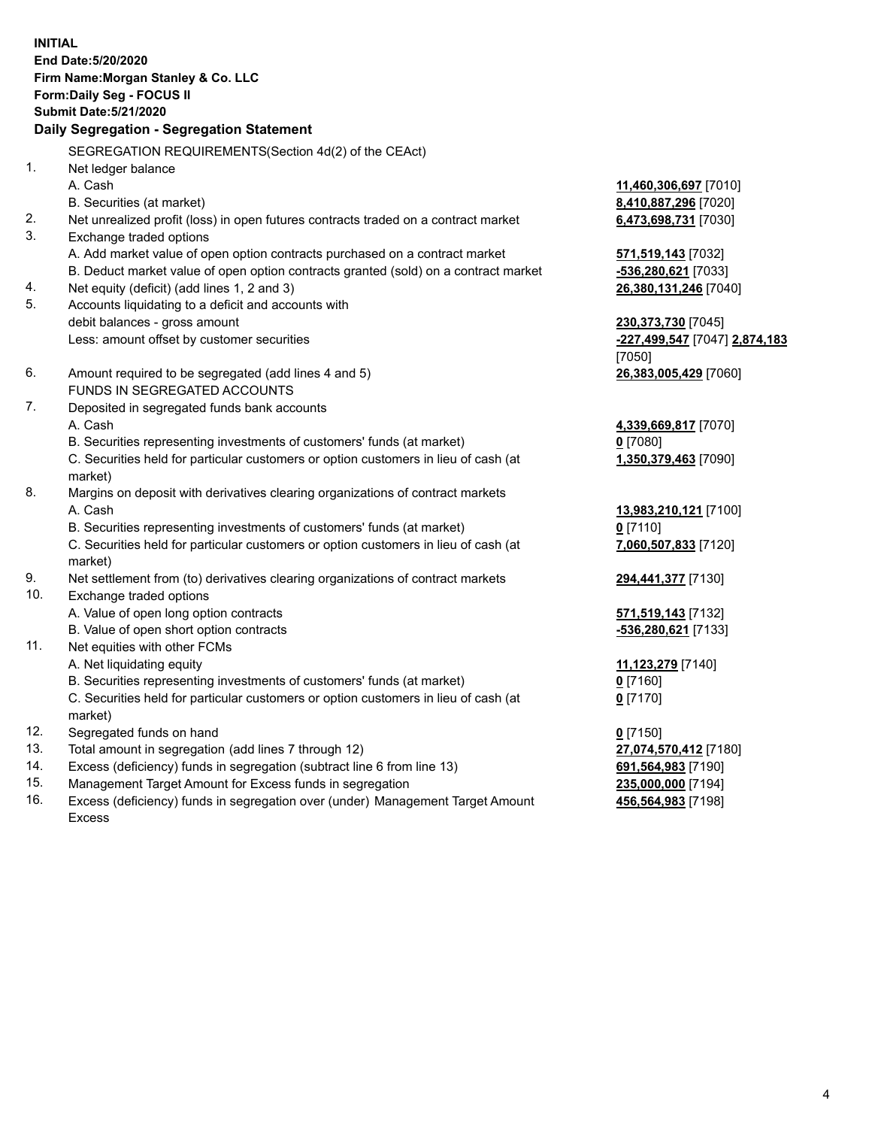**INITIAL End Date:5/20/2020 Firm Name:Morgan Stanley & Co. LLC Form:Daily Seg - FOCUS II Submit Date:5/21/2020 Daily Segregation - Segregation Statement** SEGREGATION REQUIREMENTS(Section 4d(2) of the CEAct) 1. Net ledger balance A. Cash **11,460,306,697** [7010] B. Securities (at market) **8,410,887,296** [7020] 2. Net unrealized profit (loss) in open futures contracts traded on a contract market **6,473,698,731** [7030] 3. Exchange traded options A. Add market value of open option contracts purchased on a contract market **571,519,143** [7032] B. Deduct market value of open option contracts granted (sold) on a contract market **-536,280,621** [7033] 4. Net equity (deficit) (add lines 1, 2 and 3) **26,380,131,246** [7040] 5. Accounts liquidating to a deficit and accounts with debit balances - gross amount **230,373,730** [7045] Less: amount offset by customer securities **-227,499,547** [7047] **2,874,183** [7050] 6. Amount required to be segregated (add lines 4 and 5) **26,383,005,429** [7060] FUNDS IN SEGREGATED ACCOUNTS 7. Deposited in segregated funds bank accounts A. Cash **4,339,669,817** [7070] B. Securities representing investments of customers' funds (at market) **0** [7080] C. Securities held for particular customers or option customers in lieu of cash (at market) **1,350,379,463** [7090] 8. Margins on deposit with derivatives clearing organizations of contract markets A. Cash **13,983,210,121** [7100] B. Securities representing investments of customers' funds (at market) **0** [7110] C. Securities held for particular customers or option customers in lieu of cash (at market) **7,060,507,833** [7120] 9. Net settlement from (to) derivatives clearing organizations of contract markets **294,441,377** [7130] 10. Exchange traded options A. Value of open long option contracts **571,519,143** [7132] B. Value of open short option contracts **-536,280,621** [7133] 11. Net equities with other FCMs A. Net liquidating equity **11,123,279** [7140] B. Securities representing investments of customers' funds (at market) **0** [7160] C. Securities held for particular customers or option customers in lieu of cash (at market) **0** [7170] 12. Segregated funds on hand **0** [7150] 13. Total amount in segregation (add lines 7 through 12) **27,074,570,412** [7180] 14. Excess (deficiency) funds in segregation (subtract line 6 from line 13) **691,564,983** [7190] 15. Management Target Amount for Excess funds in segregation **235,000,000** [7194]

16. Excess (deficiency) funds in segregation over (under) Management Target Amount Excess

**456,564,983** [7198]